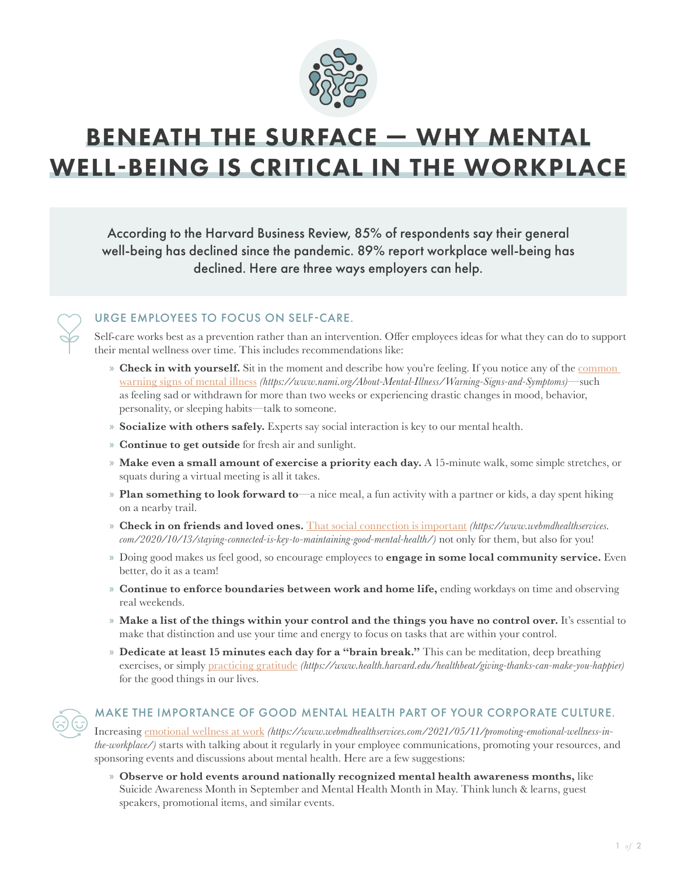

## BENEATH THE SURFACE — WHY MENTAL WELL-BEING IS CRITICAL IN THE WORKPLACE

According to the Harvard Business Review, 85% of respondents say their general well-being has declined since the pandemic. 89% report workplace well-being has declined. Here are three ways employers can help.



## URGE EMPLOYEES TO FOCUS ON SELF-CARE.

Self-care works best as a prevention rather than an intervention. Offer employees ideas for what they can do to support their mental wellness over time. This includes recommendations like:

- » **Check in with yourself.** Sit in the moment and describe how you're feeling. If you notice any of the common [warning signs of mental illness](https://www.nami.org/About-Mental-Illness/Warning-Signs-and-Symptoms) *(https://www.nami.org/About-Mental-Illness/Warning-Signs-and-Symptoms)*—such as feeling sad or withdrawn for more than two weeks or experiencing drastic changes in mood, behavior, personality, or sleeping habits—talk to someone.
- » **Socialize with others safely.** Experts say social interaction is key to our mental health.
- » **Continue to get outside** for fresh air and sunlight.
- » **Make even a small amount of exercise a priority each day.** A 15-minute walk, some simple stretches, or squats during a virtual meeting is all it takes.
- » **Plan something to look forward to**—a nice meal, a fun activity with a partner or kids, a day spent hiking on a nearby trail.
- » **Check in on friends and loved ones.** [That social connection is important](https://www.webmdhealthservices.com/2020/10/13/staying-connected-is-key-to-maintaining-good-mental-health/) *(https://www.webmdhealthservices. com/2020/10/13/staying-connected-is-key-to-maintaining-good-mental-health/)* not only for them, but also for you!
- » Doing good makes us feel good, so encourage employees to **engage in some local community service.** Even better, do it as a team!
- » **Continue to enforce boundaries between work and home life,** ending workdays on time and observing real weekends.
- » **Make a list of the things within your control and the things you have no control over.** It's essential to make that distinction and use your time and energy to focus on tasks that are within your control.
- » **Dedicate at least 15 minutes each day for a "brain break."** This can be meditation, deep breathing exercises, or simply [practicing gratitude](https://www.health.harvard.edu/healthbeat/giving-thanks-can-make-you-happier) *(https://www.health.harvard.edu/healthbeat/giving-thanks-can-make-you-happier)* for the good things in our lives.



## MAKE THE IMPORTANCE OF GOOD MENTAL HEALTH PART OF YOUR CORPORATE CULTURE.

Increasing [emotional wellness at work](https://www.webmdhealthservices.com/2021/05/11/promoting-emotional-wellness-in-the-workplace/) *(https://www.webmdhealthservices.com/2021/05/11/promoting-emotional-wellness-inthe-workplace/)* starts with talking about it regularly in your employee communications, promoting your resources, and sponsoring events and discussions about mental health. Here are a few suggestions:

» **Observe or hold events around nationally recognized mental health awareness months,** like Suicide Awareness Month in September and Mental Health Month in May. Think lunch & learns, guest speakers, promotional items, and similar events.